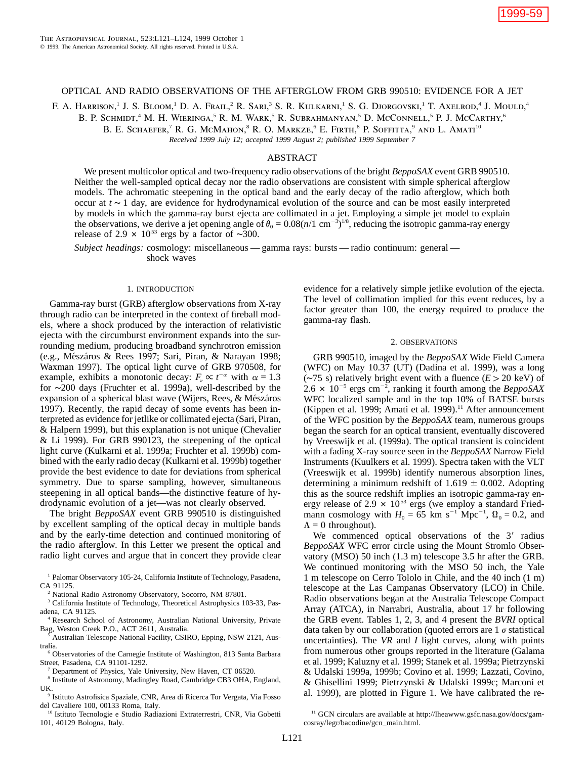F. A. HARRISON,<sup>1</sup> J. S. BLOOM,<sup>1</sup> D. A. Frail,<sup>2</sup> R. Sari,<sup>3</sup> S. R. Kulkarni,<sup>1</sup> S. G. Djorgovski,<sup>1</sup> T. Axelrod,<sup>4</sup> J. Mould,<sup>4</sup>

B. P. SCHMIDT,<sup>4</sup> M. H. WIERINGA,<sup>5</sup> R. M. WARK,<sup>5</sup> R. SUBRAHMANYAN,<sup>5</sup> D. McConnell,<sup>5</sup> P. J. McCarthy,<sup>6</sup>

B. E. SCHAEFER,<sup>7</sup> R. G. McMahon,<sup>8</sup> R. O. Markze,<sup>6</sup> E. Firth,<sup>8</sup> P. Soffitta,<sup>9</sup> and L. Amati<sup>10</sup>

*Received 1999 July 12; accepted 1999 August 2; published 1999 September 7*

# ABSTRACT

We present multicolor optical and two-frequency radio observations of the bright *BeppoSAX* event GRB 990510. Neither the well-sampled optical decay nor the radio observations are consistent with simple spherical afterglow models. The achromatic steepening in the optical band and the early decay of the radio afterglow, which both occur at  $t \sim 1$  day, are evidence for hydrodynamical evolution of the source and can be most easily interpreted by models in which the gamma-ray burst ejecta are collimated in a jet. Employing a simple jet model to explain the observations, we derive a jet opening angle of  $\theta_0 = 0.08(n/1 \text{ cm}^{-3})^{1/8}$ , reducing the isotropic gamma-ray energy release of 2.9  $\times$  10<sup>53</sup> ergs by a factor of ~300.

*Subject headings:* cosmology: miscellaneous — gamma rays: bursts — radio continuum: general shock waves

## 1. INTRODUCTION

Gamma-ray burst (GRB) afterglow observations from X-ray through radio can be interpreted in the context of fireball models, where a shock produced by the interaction of relativistic ejecta with the circumburst environment expands into the surrounding medium, producing broadband synchrotron emission (e.g., Mészáros & Rees 1997; Sari, Piran, & Narayan 1998; Waxman 1997). The optical light curve of GRB 970508, for example, exhibits a monotonic decay:  $F_v \propto t^{-\alpha}$  with  $\alpha = 1.3$ for ∼200 days (Fruchter et al. 1999a), well-described by the expansion of a spherical blast wave (Wijers, Rees, & Mészáros 1997). Recently, the rapid decay of some events has been interpreted as evidence for jetlike or collimated ejecta (Sari, Piran, & Halpern 1999), but this explanation is not unique (Chevalier & Li 1999). For GRB 990123, the steepening of the optical light curve (Kulkarni et al. 1999a; Fruchter et al. 1999b) combined with the early radio decay (Kulkarni et al. 1999b) together provide the best evidence to date for deviations from spherical symmetry. Due to sparse sampling, however, simultaneous steepening in all optical bands—the distinctive feature of hydrodynamic evolution of a jet—was not clearly observed.

The bright *BeppoSAX* event GRB 990510 is distinguished by excellent sampling of the optical decay in multiple bands and by the early-time detection and continued monitoring of the radio afterglow. In this Letter we present the optical and radio light curves and argue that in concert they provide clear

<sup>1</sup> Palomar Observatory 105-24, California Institute of Technology, Pasadena, CA 91125.

<sup>2</sup> National Radio Astronomy Observatory, Socorro, NM 87801.

<sup>3</sup> California Institute of Technology, Theoretical Astrophysics 103-33, Pasadena, CA 91125.

<sup>4</sup> Research School of Astronomy, Australian National University, Private Bag, Weston Creek P.O., ACT 2611, Australia.

Australian Telescope National Facility, CSIRO, Epping, NSW 2121, Australia.

<sup>6</sup> Observatories of the Carnegie Institute of Washington, 813 Santa Barbara Street, Pasadena, CA 91101-1292.

<sup>7</sup> Department of Physics, Yale University, New Haven, CT 06520.

<sup>8</sup> Institute of Astronomy, Madingley Road, Cambridge CB3 OHA, England, UK.

<sup>9</sup> Istituto Astrofisica Spaziale, CNR, Area di Ricerca Tor Vergata, Via Fosso del Cavaliere 100, 00133 Roma, Italy.

<sup>10</sup> Istituto Tecnologie e Studio Radiazioni Extraterrestri, CNR, Via Gobetti 101, 40129 Bologna, Italy.

evidence for a relatively simple jetlike evolution of the ejecta. The level of collimation implied for this event reduces, by a factor greater than 100, the energy required to produce the gamma-ray flash.

### 2. OBSERVATIONS

GRB 990510, imaged by the *BeppoSAX* Wide Field Camera (WFC) on May 10.37 (UT) (Dadina et al. 1999), was a long ( $~\sim$ 75 s) relatively bright event with a fluence ( $E > 20$  keV) of  $2.6 \times 10^{-5}$  ergs cm<sup>-2</sup>, ranking it fourth among the *BeppoSAX* WFC localized sample and in the top 10% of BATSE bursts (Kippen et al. 1999; Amati et al. 1999).<sup>11</sup> After announcement of the WFC position by the *BeppoSAX* team, numerous groups began the search for an optical transient, eventually discovered by Vreeswijk et al. (1999a). The optical transient is coincident with a fading X-ray source seen in the *BeppoSAX* Narrow Field Instruments (Kuulkers et al. 1999). Spectra taken with the VLT (Vreeswijk et al. 1999b) identify numerous absorption lines, determining a minimum redshift of  $1.619 \pm 0.002$ . Adopting this as the source redshift implies an isotropic gamma-ray energy release of 2.9  $\times$  10<sup>53</sup> ergs (we employ a standard Friedmann cosmology with  $H_0 = 65$  km s<sup>-1</sup> Mpc<sup>-1</sup>,  $\Omega_0 = 0.2$ , and  $\Lambda = 0$  throughout).

We commenced optical observations of the  $3'$  radius *BeppoSAX* WFC error circle using the Mount Stromlo Observatory (MSO) 50 inch (1.3 m) telescope 3.5 hr after the GRB. We continued monitoring with the MSO 50 inch, the Yale 1 m telescope on Cerro Tololo in Chile, and the 40 inch (1 m) telescope at the Las Campanas Observatory (LCO) in Chile. Radio observations began at the Australia Telescope Compact Array (ATCA), in Narrabri, Australia, about 17 hr following the GRB event. Tables 1, 2, 3, and 4 present the *BVRI* optical data taken by our collaboration (quoted errors are  $1 \sigma$  statistical uncertainties). The *VR* and *I* light curves, along with points from numerous other groups reported in the literature (Galama et al. 1999; Kaluzny et al. 1999; Stanek et al. 1999a; Pietrzynski & Udalski 1999a, 1999b; Covino et al. 1999; Lazzati, Covino, & Ghisellini 1999; Pietrzynski & Udalski 1999c; Marconi et al. 1999), are plotted in Figure 1. We have calibrated the re-

<sup>&</sup>lt;sup>11</sup> GCN circulars are available at http://lheawww.gsfc.nasa.gov/docs/gamcosray/legr/bacodine/gcn\_main.html.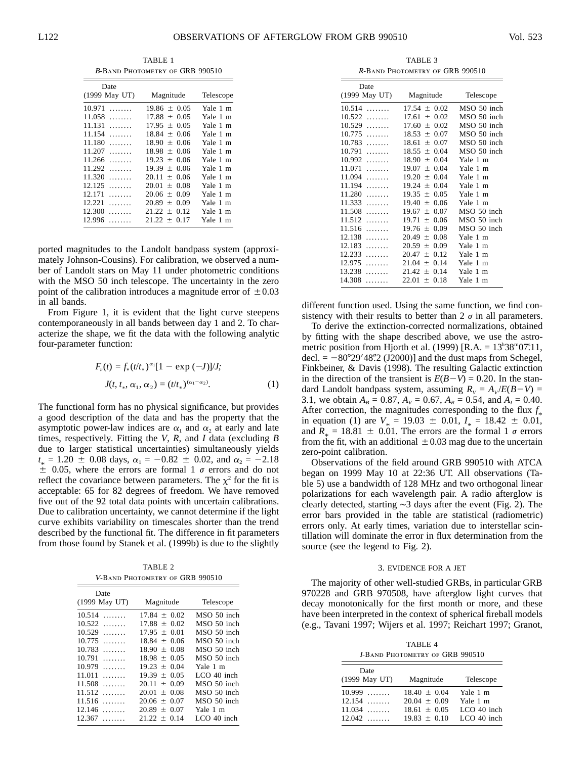TABLE 1 <sup>B</sup>-Band Photometry of GRB 990510

| Date          |                  |           |
|---------------|------------------|-----------|
| (1999 May UT) | Magnitude        | Telescope |
| 10.971<br>.   | $19.86 + 0.05$   | Yale 1 m  |
| 11.058<br>.   | $17.88 + 0.05$   | Yale 1 m  |
| 11.131<br>.   | $17.95 + 0.05$   | Yale 1 m  |
| 11.154<br>.   | $18.84 + 0.06$   | Yale 1 m  |
| 11.180<br>.   | $18.90 + 0.06$   | Yale 1 m  |
| 11.207<br>.   | $18.98 + 0.06$   | Yale 1 m  |
| 11.266<br>.   | $19.23 + 0.06$   | Yale 1 m  |
| 11.292<br>.   | $19.39 + 0.06$   | Yale 1 m  |
| 11.320<br>.   | $20.11 + 0.06$   | Yale 1 m  |
| 12.125<br>.   | $20.01 + 0.08$   | Yale 1 m  |
| 12.171<br>.   | $20.06 + 0.09$   | Yale 1 m  |
| 12.221<br>.   | $20.89 \pm 0.09$ | Yale 1 m  |
| 12.300<br>.   | $21.22 \pm 0.12$ | Yale 1 m  |
| 12.996<br>.   | $21.22 + 0.17$   | Yale 1 m  |

ported magnitudes to the Landolt bandpass system (approximately Johnson-Cousins). For calibration, we observed a number of Landolt stars on May 11 under photometric conditions with the MSO 50 inch telescope. The uncertainty in the zero point of the calibration introduces a magnitude error of  $\pm 0.03$ in all bands.

From Figure 1, it is evident that the light curve steepens contemporaneously in all bands between day 1 and 2. To characterize the shape, we fit the data with the following analytic four-parameter function:

$$
F_{\nu}(t) = f_{*}(t/t_{*})^{\alpha_{1}}[1 - \exp(-J)]/J;
$$
  

$$
J(t, t_{*}, \alpha_{1}, \alpha_{2}) = (t/t_{*})^{(\alpha_{1} - \alpha_{2})}.
$$
 (1)

The functional form has no physical significance, but provides a good description of the data and has the property that the asymptotic power-law indices are  $\alpha_1$  and  $\alpha_2$  at early and late times, respectively. Fitting the *V*, *R*, and *I* data (excluding *B* due to larger statistical uncertainties) simultaneously yields  $t_* = 1.20 \pm 0.08$  days,  $\alpha_1 = -0.82 \pm 0.02$ , and  $\alpha_2 = -2.18$  $\pm$  0.05, where the errors are formal 1  $\sigma$  errors and do not reflect the covariance between parameters. The  $\chi^2$  for the fit is acceptable: 65 for 82 degrees of freedom. We have removed five out of the 92 total data points with uncertain calibrations. Due to calibration uncertainty, we cannot determine if the light curve exhibits variability on timescales shorter than the trend described by the functional fit. The difference in fit parameters from those found by Stanek et al. (1999b) is due to the slightly

TABLE 2 <sup>V</sup>-Band Photometry of GRB 990510

| Date             |                |               |
|------------------|----------------|---------------|
| (1999 May UT)    | Magnitude      | Telescope     |
| 10.514<br>$\sim$ | $17.84 + 0.02$ | MSO 50 inch   |
| 10.522<br>.      | $17.88 + 0.02$ | MSO 50 inch   |
| 10.529<br>.      | $17.95 + 0.01$ | MSO 50 inch   |
| 10.775<br>.      | $18.84 + 0.06$ | MSO 50 inch   |
| 10.783<br>.      | $18.90 + 0.08$ | MSO 50 inch   |
| 10.791<br>.      | $18.98 + 0.05$ | MSO 50 inch   |
| 10.979<br>.      | $19.23 + 0.04$ | Yale 1 m      |
| 11.011<br>.      | $19.39 + 0.05$ | LCO $40$ inch |
| 11.508<br>.      | $20.11 + 0.09$ | MSO 50 inch   |
| 11.512<br>.      | $20.01 + 0.08$ | MSO 50 inch   |
| 11.516<br>.      | $20.06 + 0.07$ | MSO 50 inch   |
| $12.146$         | $20.89 + 0.07$ | Yale 1 m      |
| 12.367<br>.      | $21.22 + 0.14$ | LCO 40 inch   |

TABLE 3 <sup>R</sup>-Band Photometry of GRB 990510

| Date<br>(1999 May UT) | Magnitude               | Telescope   |  |
|-----------------------|-------------------------|-------------|--|
|                       |                         |             |  |
| 10.514<br>.           | $17.54 + 0.02$          | MSO 50 inch |  |
| 10.522<br>.           | 17.61<br>0.02<br>$^{+}$ | MSO 50 inch |  |
| 10.529<br>.           | 0.02<br>17.60<br>$^{+}$ | MSO 50 inch |  |
| 10.775<br>.           | 18.53<br>0.07<br>$^{+}$ | MSO 50 inch |  |
| 10.783<br>.           | 18.61<br>0.07<br>$^{+}$ | MSO 50 inch |  |
| 10.791<br>.           | 18.55 $\pm$<br>0.04     | MSO 50 inch |  |
| 10.992<br>.           | 18.90 $\pm$<br>0.04     | Yale 1 m    |  |
| 11.071<br>.           | 0.04<br>$19.07 +$       | Yale 1 m    |  |
| 11.094<br>.           | 0.04<br>$19.20 +$       | Yale 1 m    |  |
| 11.194<br>.           | 0.04<br>19.24<br>$^{+}$ | Yale 1 m    |  |
| 11.280<br>.           | 19.35<br>0.05<br>$^{+}$ | Yale 1 m    |  |
| 11.333<br>.           | 19.40<br>0.06<br>$^{+}$ | Yale 1 m    |  |
| 11.508<br>.           | 19.67<br>0.07<br>$^{+}$ | MSO 50 inch |  |
| 11.512<br>.           | 19.71<br>0.06<br>$^{+}$ | MSO 50 inch |  |
| 11.516<br>.           | 0.09<br>19.76<br>$^{+}$ | MSO 50 inch |  |
| 12.138<br>.           | 20.49<br>0.08<br>$^{+}$ | Yale 1 m    |  |
| 12.183<br>.           | 20.59<br>0.09<br>$^{+}$ | Yale 1 m    |  |
| 12.233<br>.           | 20.47<br>0.12<br>$^{+}$ | Yale 1 m    |  |
| 12.975<br>.           | 0.14<br>21.04<br>$^{+}$ | Yale 1 m    |  |
| 13.238<br>.           | 21.42<br>0.14<br>$^{+}$ | Yale 1<br>m |  |
| 14.308<br>.           | 22.01<br>0.18<br>$+$    | Yale 1 m    |  |

different function used. Using the same function, we find consistency with their results to better than  $2 \sigma$  in all parameters.

To derive the extinction-corrected normalizations, obtained by fitting with the shape described above, we use the astrometric position from Hjorth et al.  $(1999)$  [R.A. =  $13^h38^m07$ :11, decl.  $= -80^{\circ}29'48''\cdot 2 \text{ (J2000)}$  and the dust maps from Schegel, Finkbeiner, & Davis (1998). The resulting Galactic extinction in the direction of the transient is  $E(B-V) = 0.20$ . In the standard Landolt bandpass system, assuming  $R_V = A_V/E(B-V) =$ 3.1, we obtain  $A_B = 0.87$ ,  $A_V = 0.67$ ,  $A_R = 0.54$ , and  $A_I = 0.40$ . After correction, the magnitudes corresponding to the flux  $f_*$ in equation (1) are  $V_* = 19.03 \pm 0.01$ ,  $I_* = 18.42 \pm 0.01$ ,<br> $I_* = 18.42 \pm 0.01$ , and  $R_* = 18.81 \pm 0.01$ . The errors are the formal 1  $\sigma$  errors from the fit, with an additional  $\pm 0.03$  mag due to the uncertain zero-point calibration.

Observations of the field around GRB 990510 with ATCA began on 1999 May 10 at 22:36 UT. All observations (Table 5) use a bandwidth of 128 MHz and two orthogonal linear polarizations for each wavelength pair. A radio afterglow is clearly detected, starting ∼3 days after the event (Fig. 2). The error bars provided in the table are statistical (radiometric) errors only. At early times, variation due to interstellar scintillation will dominate the error in flux determination from the source (see the legend to Fig. 2).

### 3. EVIDENCE FOR A JET

The majority of other well-studied GRBs, in particular GRB 970228 and GRB 970508, have afterglow light curves that decay monotonically for the first month or more, and these have been interpreted in the context of spherical fireball models (e.g., Tavani 1997; Wijers et al. 1997; Reichart 1997; Granot,

TABLE 4 <sup>I</sup>-Band Photometry of GRB 990510

| Date<br>(1999 May UT) | Magnitude        | Telescope     |
|-----------------------|------------------|---------------|
| $10.999$              | $18.40 \pm 0.04$ | Yale 1 m      |
| $12.154$              | $20.04 + 0.09$   | Yale 1 m      |
| $11.034$              | $18.61 + 0.05$   | $LCO$ 40 inch |
| $12.042$              | $19.83 \pm 0.10$ | LCO 40 inch   |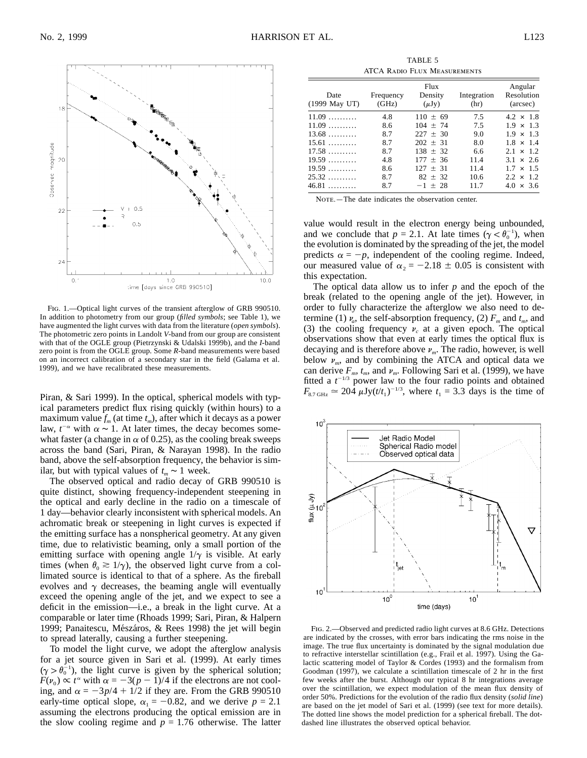

Fig. 1.—Optical light curves of the transient afterglow of GRB 990510. In addition to photometry from our group (*filled symbols*; see Table 1), we have augmented the light curves with data from the literature (*open symbols*). The photometric zero points in Landolt *V*-band from our group are consistent with that of the OGLE group (Pietrzynski & Udalski 1999b), and the *I*-band zero point is from the OGLE group. Some *R*-band measurements were based on an incorrect calibration of a secondary star in the field (Galama et al. 1999), and we have recalibrated these measurements.

Piran, & Sari 1999). In the optical, spherical models with typical parameters predict flux rising quickly (within hours) to a maximum value  $f_m$  (at time  $t_m$ ), after which it decays as a power law,  $t^{-\alpha}$  with  $\alpha \sim 1$ . At later times, the decay becomes somewhat faster (a change in  $\alpha$  of 0.25), as the cooling break sweeps across the band (Sari, Piran, & Narayan 1998). In the radio band, above the self-absorption frequency, the behavior is similar, but with typical values of  $t_m \sim 1$  week.

The observed optical and radio decay of GRB 990510 is quite distinct, showing frequency-independent steepening in the optical and early decline in the radio on a timescale of 1 day—behavior clearly inconsistent with spherical models. An achromatic break or steepening in light curves is expected if the emitting surface has a nonspherical geometry. At any given time, due to relativistic beaming, only a small portion of the emitting surface with opening angle  $1/\gamma$  is visible. At early times (when  $\theta_0 \geq 1/\gamma$ ), the observed light curve from a collimated source is identical to that of a sphere. As the fireball evolves and  $\gamma$  decreases, the beaming angle will eventually exceed the opening angle of the jet, and we expect to see a deficit in the emission—i.e., a break in the light curve. At a comparable or later time (Rhoads 1999; Sari, Piran, & Halpern 1999; Panaitescu, Mészáros, & Rees 1998) the jet will begin to spread laterally, causing a further steepening.

To model the light curve, we adopt the afterglow analysis for a jet source given in Sari et al. (1999). At early times  $(\gamma > \theta_0^{-1})$ , the light curve is given by the spherical solution;  $F(v_0) \propto t^{\alpha}$  with  $\alpha = -3(p - 1)/4$  if the electrons are not cooling, and  $\alpha = -3p/4 + 1/2$  if they are. From the GRB 990510 early-time optical slope,  $\alpha_1 = -0.82$ , and we derive  $p = 2.1$ assuming the electrons producing the optical emission are in the slow cooling regime and  $p = 1.76$  otherwise. The latter

TABLE 5 ATCA Radio Flux Measurements

| Date<br>(1999 May UT) | Frequency<br>(GHz) | <b>Flux</b><br>Density<br>$(\mu Jy)$ | Integration<br>(hr) | Angular<br>Resolution<br>(arcsec) |
|-----------------------|--------------------|--------------------------------------|---------------------|-----------------------------------|
| $11.09$               | 4.8                | $110 \pm 69$                         | 7.5                 | $4.2 \times 1.8$                  |
| $11.09$               | 8.6                | $104 + 74$                           | 7.5                 | $1.9 \times 1.3$                  |
| $13.68$               | 8.7                | $227 + 30$                           | 9.0                 | $1.9 \times 1.3$                  |
| $15.61$               | 8.7                | $202 + 31$                           | 8.0                 | $1.8 \times 1.4$                  |
| 17.58                 | 8.7                | $138 + 32$                           | 6.6                 | $2.1 \times 1.2$                  |
| 19.59                 | 4.8                | $177 + 36$                           | 11.4                | $3.1 \times 2.6$                  |
| 19.59                 | 8.6                | $127 + 31$                           | 11.4                | $1.7 \times 1.5$                  |
| $25.32$               | 8.7                | $82 + 32$                            | 10.6                | $2.2 \times 1.2$                  |
| $46.81$               | 8.7                | $-1 + 28$                            | 11.7                | $4.0 \times 3.6$                  |

NOTE. - The date indicates the observation center.

value would result in the electron energy being unbounded, and we conclude that  $p = 2.1$ . At late times  $(\gamma < \theta_0^{-1})$ , when the evolution is dominated by the spreading of the jet, the model predicts  $\alpha = -p$ , independent of the cooling regime. Indeed, our measured value of  $\alpha_2 = -2.18 \pm 0.05$  is consistent with this expectation.

The optical data allow us to infer *p* and the epoch of the break (related to the opening angle of the jet). However, in order to fully characterize the afterglow we also need to determine (1)  $\nu_a$ , the self-absorption frequency, (2)  $F_m$  and  $t_m$ , and (3) the cooling frequency  $v_c$  at a given epoch. The optical observations show that even at early times the optical flux is decaying and is therefore above  $\nu_m$ . The radio, however, is well below  $\nu_m$ , and by combining the ATCA and optical data we can derive  $F_m$ ,  $t_m$ , and  $\nu_m$ . Following Sari et al. (1999), we have fitted a  $t^{-1/3}$  power law to the four radio points and obtained  $F_{8.7 \text{ GHz}} \approx 20\overline{4} \mu \text{Jy}(t/t_1)^{-1/3}$ , where  $t_1 = 3.3 \text{ days}$  is the time of



Fig. 2.—Observed and predicted radio light curves at 8.6 GHz. Detections are indicated by the crosses, with error bars indicating the rms noise in the image. The true flux uncertainty is dominated by the signal modulation due to refractive interstellar scintillation (e.g., Frail et al. 1997). Using the Galactic scattering model of Taylor & Cordes (1993) and the formalism from Goodman (1997), we calculate a scintillation timescale of 2 hr in the first few weeks after the burst. Although our typical 8 hr integrations average over the scintillation, we expect modulation of the mean flux density of order 50%. Predictions for the evolution of the radio flux density (*solid line*) are based on the jet model of Sari et al. (1999) (see text for more details). The dotted line shows the model prediction for a spherical fireball. The dotdashed line illustrates the observed optical behavior.